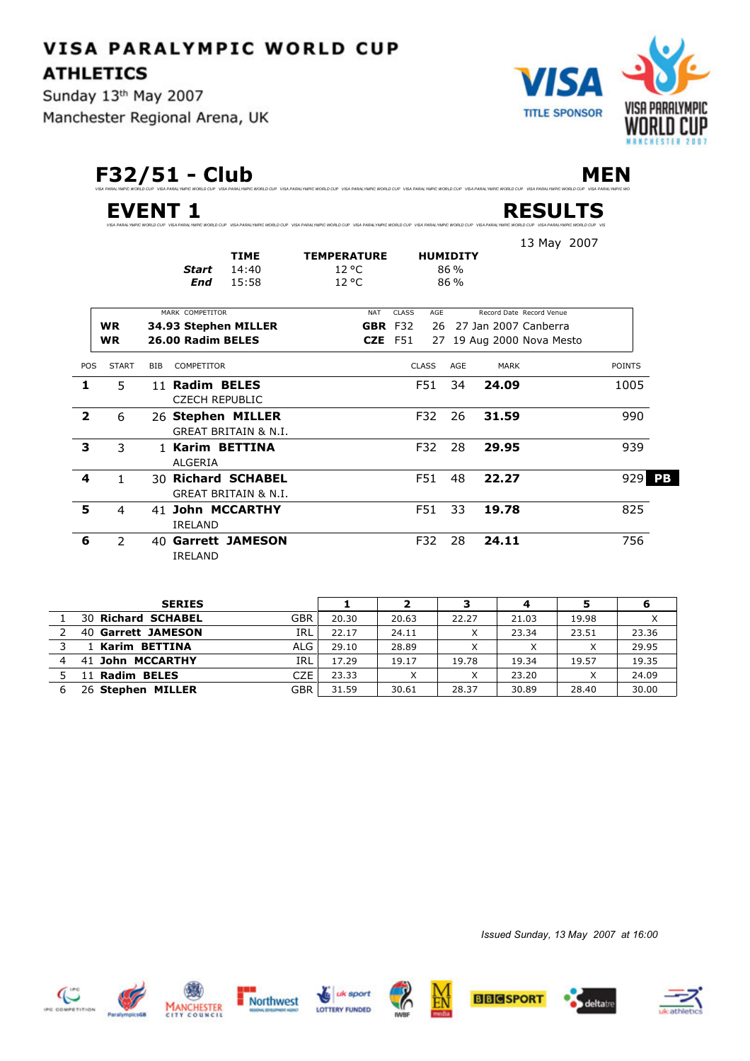**ATHLETICS** Sunday 13th May 2007

**VISA PARALYMPIC WORLD CUP** 

Manchester Regional Arena, UK



**F32/51 - Club MEN**

**EVENT 1 RESULTS**

|                         |                |            | <b>Start</b>                            | <b>TIME</b><br>14:40                                  | <b>TEMPERATURE</b><br>$12^{\circ}$ C |                | <b>HUMIDITY</b> | 86 % |                      | 13 May 2007               |               |
|-------------------------|----------------|------------|-----------------------------------------|-------------------------------------------------------|--------------------------------------|----------------|-----------------|------|----------------------|---------------------------|---------------|
|                         |                |            | <b>End</b>                              | 15:58                                                 | $12^{\circ}$ C                       |                |                 | 86 % |                      |                           |               |
|                         |                |            | MARK COMPETITOR                         |                                                       | <b>NAT</b>                           | <b>CLASS</b>   | AGE             |      |                      | Record Date Record Venue  |               |
|                         | <b>WR</b>      |            |                                         | 34.93 Stephen MILLER                                  |                                      | GBR F32        | 26              |      | 27 Jan 2007 Canberra |                           |               |
|                         | <b>WR</b>      |            | 26.00 Radim BELES                       |                                                       |                                      | <b>CZE</b> F51 |                 |      |                      | 27 19 Aug 2000 Nova Mesto |               |
| POS                     | <b>START</b>   | <b>BIB</b> | COMPETITOR                              |                                                       |                                      |                | <b>CLASS</b>    | AGE  | <b>MARK</b>          |                           | <b>POINTS</b> |
| 1                       | 5              |            | 11 Radim BELES<br><b>CZECH REPUBLIC</b> |                                                       |                                      |                | F51             | 34   | 24.09                |                           | 1005          |
| $\overline{\mathbf{2}}$ | 6              |            |                                         | 26 Stephen MILLER<br><b>GREAT BRITAIN &amp; N.I.</b>  |                                      |                | F32             | 26   | 31.59                |                           | 990           |
| 3                       | 3              |            | <b>ALGERIA</b>                          | 1 Karim BETTINA                                       |                                      |                | F32             | 28   | 29.95                |                           | 939           |
| 4                       | 1.             |            |                                         | 30 Richard SCHABEL<br><b>GREAT BRITAIN &amp; N.I.</b> |                                      |                | F51             | 48   | 22.27                |                           | 929<br>PB     |
| 5                       | 4              |            | <b>IRELAND</b>                          | 41 John MCCARTHY                                      |                                      |                | F51             | 33   | 19.78                |                           | 825           |
| 6                       | $\overline{2}$ |            | <b>IRELAND</b>                          | 40 Garrett JAMESON                                    |                                      |                | F32             | 28   | 24.11                |                           | 756           |

*VISA PARALYMPIC WORLD CUP VISA PARALYMPIC WORLD CUP VISA PARALYMPIC WORLD CUP VISA PARALYMPIC WORLD CUP VISA PARALYMPIC WORLD CUP VISA PARALYMPIC WORLD CUP VISA PARALYMPIC WORLD CUP VISA PARALYMPIC WORLD CUP VIS*

.<br>"MPIC WORLD CUP VISA PARALYMPIC WORLD CUP VISA PARALYMPIC WORLD CUP VISA PARALYM

| <b>SERIES</b>             |            |       | ־     | ∍     | 4     |       |       |
|---------------------------|------------|-------|-------|-------|-------|-------|-------|
| <b>30 Richard SCHABEL</b> | <b>GBR</b> | 20.30 | 20.63 | 22.27 | 21.03 | 19.98 | X     |
| 40 Garrett JAMESON        | IRL        | 22.17 | 24.11 |       | 23.34 | 23.51 | 23.36 |
| 1 Karim BETTINA           | ALG        | 29.10 | 28.89 |       |       |       | 29.95 |
| 41 John MCCARTHY          | IRL        | 17.29 | 19.17 | 19.78 | 19.34 | 19.57 | 19.35 |
| 11 Radim BELES            | CZE        | 23.33 |       |       | 23.20 |       | 24.09 |
| 26 Stephen MILLER         | <b>GBR</b> | 31.59 | 30.61 | 28.37 | 30.89 | 28.40 | 30.00 |